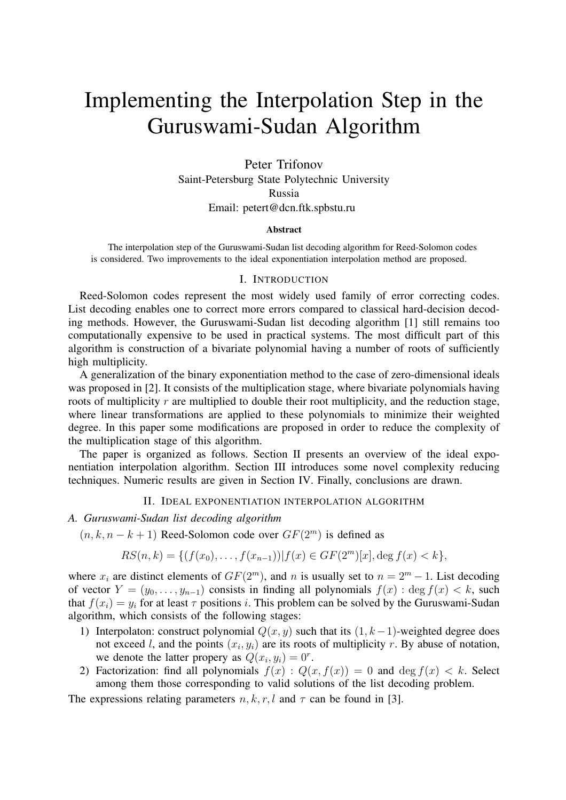# Implementing the Interpolation Step in the Guruswami-Sudan Algorithm

Peter Trifonov Saint-Petersburg State Polytechnic University Russia Email: petert@dcn.ftk.spbstu.ru

#### Abstract

The interpolation step of the Guruswami-Sudan list decoding algorithm for Reed-Solomon codes is considered. Two improvements to the ideal exponentiation interpolation method are proposed.

#### I. INTRODUCTION

Reed-Solomon codes represent the most widely used family of error correcting codes. List decoding enables one to correct more errors compared to classical hard-decision decoding methods. However, the Guruswami-Sudan list decoding algorithm [1] still remains too computationally expensive to be used in practical systems. The most difficult part of this algorithm is construction of a bivariate polynomial having a number of roots of sufficiently high multiplicity.

A generalization of the binary exponentiation method to the case of zero-dimensional ideals was proposed in [2]. It consists of the multiplication stage, where bivariate polynomials having roots of multiplicity  $r$  are multiplied to double their root multiplicity, and the reduction stage, where linear transformations are applied to these polynomials to minimize their weighted degree. In this paper some modifications are proposed in order to reduce the complexity of the multiplication stage of this algorithm.

The paper is organized as follows. Section II presents an overview of the ideal exponentiation interpolation algorithm. Section III introduces some novel complexity reducing techniques. Numeric results are given in Section IV. Finally, conclusions are drawn.

## II. IDEAL EXPONENTIATION INTERPOLATION ALGORITHM

*A. Guruswami-Sudan list decoding algorithm*

 $(n, k, n - k + 1)$  Reed-Solomon code over  $GF(2<sup>m</sup>)$  is defined as

$$
RS(n,k) = \{ (f(x_0), \dots, f(x_{n-1})) | f(x) \in GF(2^m)[x], \text{deg } f(x) < k \},
$$

where  $x_i$  are distinct elements of  $GF(2^m)$ , and n is usually set to  $n = 2^m - 1$ . List decoding of vector  $Y = (y_0, \ldots, y_{n-1})$  consists in finding all polynomials  $f(x)$ : deg  $f(x) < k$ , such that  $f(x_i) = y_i$  for at least  $\tau$  positions i. This problem can be solved by the Guruswami-Sudan algorithm, which consists of the following stages:

- 1) Interpolaton: construct polynomial  $Q(x, y)$  such that its  $(1, k-1)$ -weighted degree does not exceed l, and the points  $(x_i, y_i)$  are its roots of multiplicity r. By abuse of notation, we denote the latter propery as  $Q(x_i, y_i) = 0^r$ .
- 2) Factorization: find all polynomials  $f(x)$ :  $Q(x, f(x)) = 0$  and deg  $f(x) < k$ . Select among them those corresponding to valid solutions of the list decoding problem.

The expressions relating parameters  $n, k, r, l$  and  $\tau$  can be found in [3].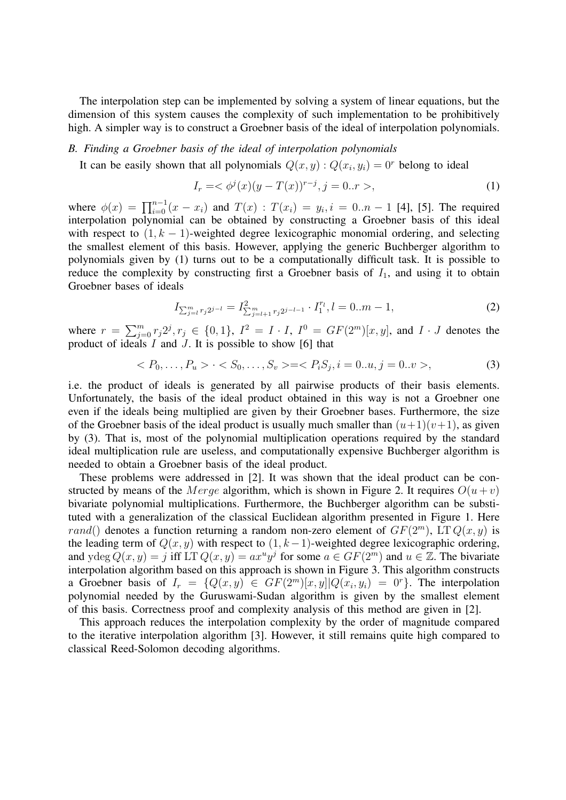The interpolation step can be implemented by solving a system of linear equations, but the dimension of this system causes the complexity of such implementation to be prohibitively high. A simpler way is to construct a Groebner basis of the ideal of interpolation polynomials.

### *B. Finding a Groebner basis of the ideal of interpolation polynomials*

It can be easily shown that all polynomials  $Q(x, y)$ :  $Q(x_i, y_i) = 0^r$  belong to ideal

$$
I_r = \langle \phi^j(x)(y - T(x))^{r-j}, j = 0..r \rangle,
$$
\n(1)

where  $\phi(x) = \prod_{i=0}^{n-1} (x - x_i)$  and  $T(x)$ :  $T(x_i) = y_i$ ,  $i = 0..n - 1$  [4], [5]. The required interpolation polynomial can be obtained by constructing a Groebner basis of this ideal with respect to  $(1, k - 1)$ -weighted degree lexicographic monomial ordering, and selecting the smallest element of this basis. However, applying the generic Buchberger algorithm to polynomials given by (1) turns out to be a computationally difficult task. It is possible to reduce the complexity by constructing first a Groebner basis of  $I_1$ , and using it to obtain Groebner bases of ideals

$$
I_{\sum_{j=l}^{m} r_j 2^{j-l}} = I_{\sum_{j=l+1}^{m} r_j 2^{j-l-1}}^{2} \cdot I_1^{r_l}, l = 0..m-1,
$$
\n(2)

where  $r = \sum_{i=1}^{m}$  $j=0 \n\infty^{m}$   $r_j 2^j, r_j \in \{0,1\}, I^2 = I \cdot I, I^0 = GF(2^m)[x, y],$  and  $I \cdot J$  denotes the product of ideals  $I$  and  $J$ . It is possible to show [6] that

$$
\langle P_0, \dots, P_u \rangle \cdot \langle S_0, \dots, S_v \rangle = \langle P_i S_j, i = 0 \dots u, j = 0 \dots v \rangle,\tag{3}
$$

i.e. the product of ideals is generated by all pairwise products of their basis elements. Unfortunately, the basis of the ideal product obtained in this way is not a Groebner one even if the ideals being multiplied are given by their Groebner bases. Furthermore, the size of the Groebner basis of the ideal product is usually much smaller than  $(u+1)(v+1)$ , as given by (3). That is, most of the polynomial multiplication operations required by the standard ideal multiplication rule are useless, and computationally expensive Buchberger algorithm is needed to obtain a Groebner basis of the ideal product.

These problems were addressed in [2]. It was shown that the ideal product can be constructed by means of the *Merge* algorithm, which is shown in Figure 2. It requires  $O(u + v)$ bivariate polynomial multiplications. Furthermore, the Buchberger algorithm can be substituted with a generalization of the classical Euclidean algorithm presented in Figure 1. Here rand() denotes a function returning a random non-zero element of  $GF(2<sup>m</sup>)$ , LT  $Q(x, y)$  is the leading term of  $Q(x, y)$  with respect to  $(1, k-1)$ -weighted degree lexicographic ordering, and ydeg  $Q(x, y) = j$  iff LT  $Q(x, y) = ax^u y^j$  for some  $a \in GF(2^m)$  and  $u \in \mathbb{Z}$ . The bivariate interpolation algorithm based on this approach is shown in Figure 3. This algorithm constructs a Groebner basis of  $I_r = \{Q(x, y) \in GF(2^m)[x, y] | Q(x_i, y_i) = 0^r\}$ . The interpolation polynomial needed by the Guruswami-Sudan algorithm is given by the smallest element of this basis. Correctness proof and complexity analysis of this method are given in [2].

This approach reduces the interpolation complexity by the order of magnitude compared to the iterative interpolation algorithm [3]. However, it still remains quite high compared to classical Reed-Solomon decoding algorithms.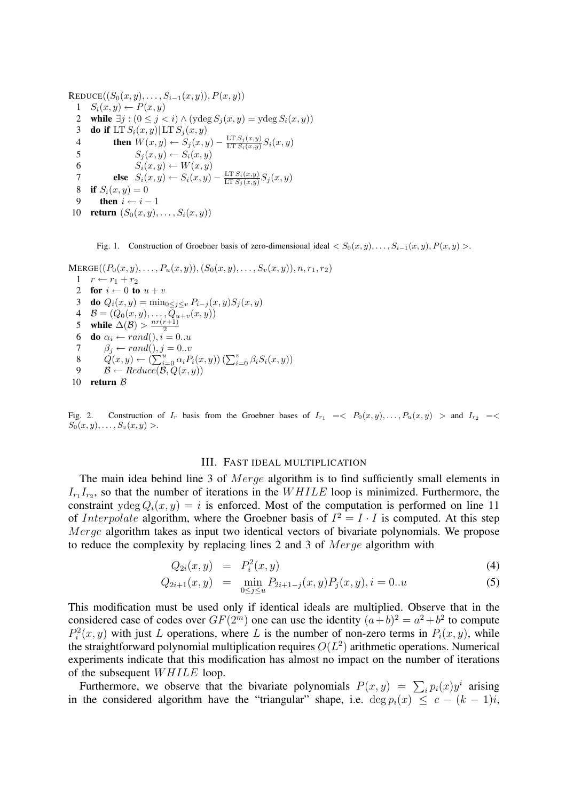```
REDUCE((S_0(x, y), \ldots, S_{i-1}(x, y)), P(x, y))1 S_i(x, y) \leftarrow P(x, y)2 while \exists j : (0 \le j < i) \land (y \deg S_j(x, y) = y \deg S_i(x, y))3 do if LT S_i(x, y) LT S_j(x, y)4 then W(x, y) \leftarrow S_j(x, y) - \frac{\text{LT } S_j(x, y)}{\text{LT } S_j(x, y)}\frac{\text{L1 } S_j(x,y)}{\text{L1 } S_i(x,y)} S_i(x,y)5 S_j(x, y) \leftarrow S_i(x, y)6 S_i(x, y) \leftarrow W(x, y)7 else S_i(x, y) \leftarrow S_i(x, y) - \frac{\text{LT } S_i(x, y)}{\text{LT } S_i(x, y)}\frac{\text{Lif } S_i(x,y)}{\text{Lif } S_j(x,y)} S_j(x,y)8 if S_i(x, y) = 09 then i \leftarrow i - 110 return (S_0(x, y), \ldots, S_i(x, y))
```
Fig. 1. Construction of Groebner basis of zero-dimensional ideal  $\langle S_0(x, y), \ldots, S_{i-1}(x, y), P(x, y) \rangle$ .

```
MERGE((P_0(x, y), \ldots, P_u(x, y)), (S_0(x, y), \ldots, S_v(x, y)), n, r_1, r_2)1 \quad r \leftarrow r_1 + r_22 for i \leftarrow 0 to u + v3 do Q_i(x, y) = \min_{0 \leq j \leq v} P_{i-j}(x, y) S_j(x, y)4 \mathcal{B} = (Q_0(x, y), \dots, Q_{u+v}(x, y))5 while \Delta(\mathcal{B}) > \frac{nr(r+1)}{2}2
  6 do \alpha_i \leftarrow rand(), i = 0..u7 \beta_i \leftarrow rand(), j = 0..v8 Q(x, y) \leftarrow (\sum_{i=0}^{y} \alpha_i P_i(x, y)) (\sum_{i=0}^{v} \beta_i S_i(x, y))9 \mathcal{B} \leftarrow Reduce(\mathcal{B}, Q(x, y))10 return B
```
Fig. 2. Construction of  $I_r$  basis from the Groebner bases of  $I_{r_1} = \langle P_0(x, y), \dots, P_u(x, y) \rangle$  and  $I_{r_2} = \langle P_0(x, y), \dots, P_u(x, y) \rangle$  $S_0(x, y), \ldots, S_v(x, y) >.$ 

## III. FAST IDEAL MULTIPLICATION

The main idea behind line 3 of Merge algorithm is to find sufficiently small elements in  $I_{r_1}I_{r_2}$ , so that the number of iterations in the  $WHILE$  loop is minimized. Furthermore, the constraint ydeg  $Q_i(x, y) = i$  is enforced. Most of the computation is performed on line 11 of *Interpolate* algorithm, where the Groebner basis of  $I^2 = I \cdot I$  is computed. At this step Merge algorithm takes as input two identical vectors of bivariate polynomials. We propose to reduce the complexity by replacing lines 2 and 3 of Merge algorithm with

$$
Q_{2i}(x,y) = P_i^2(x,y) \tag{4}
$$

$$
Q_{2i+1}(x,y) = \min_{0 \le j \le u} P_{2i+1-j}(x,y) P_j(x,y), i = 0...u
$$
 (5)

This modification must be used only if identical ideals are multiplied. Observe that in the considered case of codes over  $GF(2^m)$  one can use the identity  $(a+b)^2 = a^2 + b^2$  to compute  $P_i^2(x, y)$  with just L operations, where L is the number of non-zero terms in  $P_i(x, y)$ , while the straightforward polynomial multiplication requires  $O(L^2)$  arithmetic operations. Numerical experiments indicate that this modification has almost no impact on the number of iterations of the subsequent WHILE loop.

The subsequent *W HTLE* 100p.<br>Furthermore, we observe that the bivariate polynomials  $P(x, y) = \sum_i p_i(x) y^i$  arising in the considered algorithm have the "triangular" shape, i.e. deg  $p_i(x) \leq c - (k - 1)i$ ,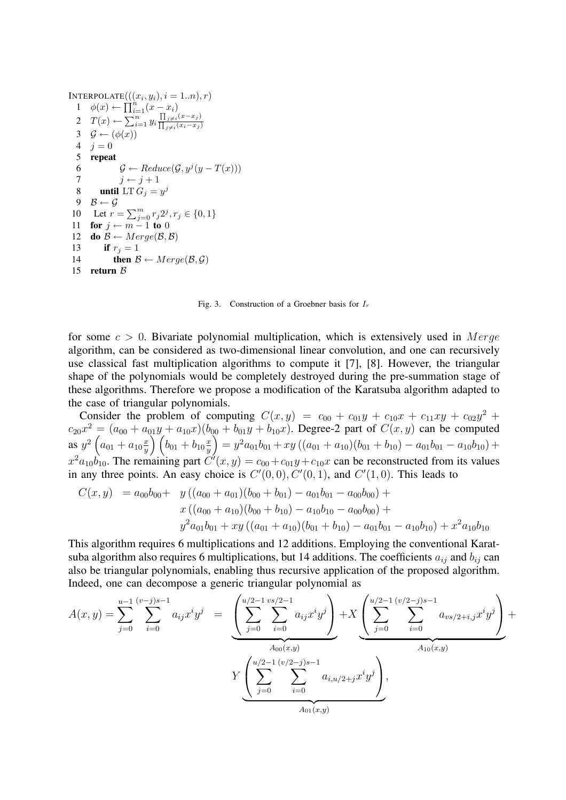```
INTERPOLATE(((x_i, y_i), i = 1..n), r)1 \quad \phi(x) \leftarrow \prod_{i=1}^{n} (x - x_i)2 T(x) \leftarrow \sum_{i=1}^{n} y_i\frac{\prod_{j\neq i}(x-x_j)}{\prod_{j\neq i}(x_i-x_j)}3 \mathcal{G} \leftarrow (\phi(x))4 j = 05 repeat
   6 \mathcal{G} \leftarrow Reduce(\mathcal{G}, y^j(y - T(x)))7 j \leftarrow j + 18 until LT G_j = y^j9 \mathcal{B} \leftarrow \mathcal{G}10 Let r = \sum_{j=0}^{m} r_j 2^j, r_j \in \{0, 1\}11 for j \leftarrow m - 1 to 0
12 do \mathcal{B} \leftarrow Merge(\mathcal{B},\mathcal{B})13 if r_i = 114 then \mathcal{B} \leftarrow Merge(\mathcal{B}, \mathcal{G})15 return B
```
Fig. 3. Construction of a Groebner basis for  $I_r$ 

for some  $c > 0$ . Bivariate polynomial multiplication, which is extensively used in Merge algorithm, can be considered as two-dimensional linear convolution, and one can recursively use classical fast multiplication algorithms to compute it [7], [8]. However, the triangular shape of the polynomials would be completely destroyed during the pre-summation stage of these algorithms. Therefore we propose a modification of the Karatsuba algorithm adapted to the case of triangular polynomials.

Consider the problem of computing  $C(x,y) = c_{00} + c_{01}y + c_{10}x + c_{11}xy + c_{02}y^2 + c_{01}y^2 + c_{02}y^2 + c_{01}y^2 + c_{02}y^2 + c_{01}y^2 + c_{02}y^2 + c_{01}z^2 + c_{02}z^2 + c_{01}z^2 + c_{02}z^2 + c_{01}z^2 + c_{02}z^2 + c_{01}z^2 + c_{02}z^2 + c_{01}z^2 + c_{02}z^2 + c$  $c_{20}x^2 = (a_{00} + a_{01}y + a_{10}x)(b_{00} + b_{01}y + b_{10}x)$ . Degree-2 part of  $C(x, y)$  can be computed as  $y^2$  $\frac{1}{2}$  $a_{01} + a_{10} \frac{x}{y}$  $\overline{y}$  $\mathfrak{g}_1$  $b_{01} + b_{10} \frac{x}{y}$  $\overline{y}$  $\frac{1}{2}$  $= y^2 a_{01} b_{01} + xy ((a_{01} + a_{10})(b_{01} + b_{10}) - a_{01} b_{01} - a_{10} b_{10}) +$  $x^2 a_{10} b_{10}$ . The remaining part  $C'(x, y) = c_{00} + c_{01}y + c_{10}x$  can be reconstructed from its values in any three points. An easy choice is  $C'(0,0)$ ,  $C'(0,1)$ , and  $C'(1,0)$ . This leads to

$$
C(x,y) = a_{00}b_{00} + y((a_{00} + a_{01})(b_{00} + b_{01}) - a_{01}b_{01} - a_{00}b_{00}) + x((a_{00} + a_{10})(b_{00} + b_{10}) - a_{10}b_{10} - a_{00}b_{00}) + y^2 a_{01}b_{01} + xy((a_{01} + a_{10})(b_{01} + b_{10}) - a_{01}b_{01} - a_{10}b_{10}) + x^2 a_{10}b_{10}
$$

This algorithm requires 6 multiplications and 12 additions. Employing the conventional Karatsuba algorithm also requires 6 multiplications, but 14 additions. The coefficients  $a_{ij}$  and  $b_{ij}$  can also be triangular polynomials, enabling thus recursive application of the proposed algorithm. Indeed, one can decompose a generic triangular polynomial as re analysis perficin  $\overline{\phantom{a}}$ 

$$
A(x,y) = \sum_{j=0}^{u-1} \sum_{i=0}^{(v-j)s-1} a_{ij}x^iy^j = \underbrace{\left(\sum_{j=0}^{u/2-1} \sum_{i=0}^{vs/2-1} a_{ij}x^iy^j\right)}_{A_{00}(x,y)} + X \underbrace{\left(\sum_{j=0}^{u/2-1} \sum_{i=0}^{(v/2-j)s-1} a_{vs/2+i,j}x^iy^j\right)}_{A_{10}(x,y)} + Y \underbrace{\left(\sum_{j=0}^{u/2-1} \sum_{i=0}^{(v/2-j)s-1} a_{i,u/2+j}x^iy^j\right)}_{A_{01}(x,y)},
$$